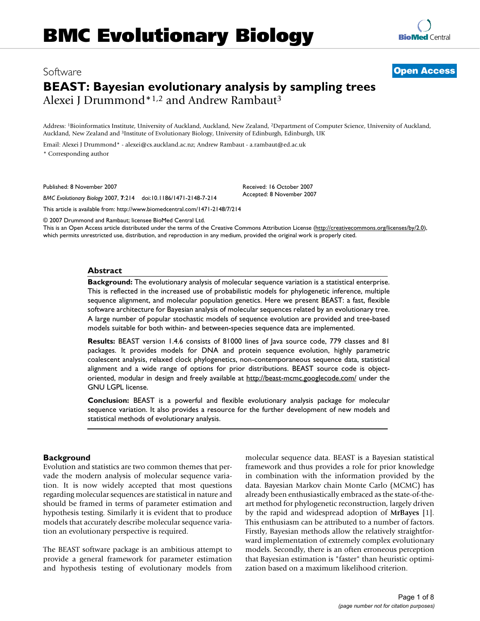# Software **[Open Access](http://www.biomedcentral.com/info/about/charter/) BEAST: Bayesian evolutionary analysis by sampling trees** Alexei J Drummond<sup>\*1,2</sup> and Andrew Rambaut<sup>3</sup>

Address: 1Bioinformatics Institute, University of Auckland, Auckland, New Zealand, 2Department of Computer Science, University of Auckland, Auckland, New Zealand and 3Institute of Evolutionary Biology, University of Edinburgh, Edinburgh, UK

Email: Alexei J Drummond\* - alexei@cs.auckland.ac.nz; Andrew Rambaut - a.rambaut@ed.ac.uk \* Corresponding author

Published: 8 November 2007

*BMC Evolutionary Biology* 2007, **7**:214 doi:10.1186/1471-2148-7-214

[This article is available from: http://www.biomedcentral.com/1471-2148/7/214](http://www.biomedcentral.com/1471-2148/7/214)

© 2007 Drummond and Rambaut; licensee BioMed Central Ltd.

This is an Open Access article distributed under the terms of the Creative Commons Attribution License [\(http://creativecommons.org/licenses/by/2.0\)](http://creativecommons.org/licenses/by/2.0), which permits unrestricted use, distribution, and reproduction in any medium, provided the original work is properly cited.

Received: 16 October 2007 Accepted: 8 November 2007

#### **Abstract**

**Background:** The evolutionary analysis of molecular sequence variation is a statistical enterprise. This is reflected in the increased use of probabilistic models for phylogenetic inference, multiple sequence alignment, and molecular population genetics. Here we present BEAST: a fast, flexible software architecture for Bayesian analysis of molecular sequences related by an evolutionary tree. A large number of popular stochastic models of sequence evolution are provided and tree-based models suitable for both within- and between-species sequence data are implemented.

**Results:** BEAST version 1.4.6 consists of 81000 lines of Java source code, 779 classes and 81 packages. It provides models for DNA and protein sequence evolution, highly parametric coalescent analysis, relaxed clock phylogenetics, non-contemporaneous sequence data, statistical alignment and a wide range of options for prior distributions. BEAST source code is objectoriented, modular in design and freely available at <http://beast-mcmc.googlecode.com/>under the GNU LGPL license.

**Conclusion:** BEAST is a powerful and flexible evolutionary analysis package for molecular sequence variation. It also provides a resource for the further development of new models and statistical methods of evolutionary analysis.

### **Background**

Evolution and statistics are two common themes that pervade the modern analysis of molecular sequence variation. It is now widely accepted that most questions regarding molecular sequences are statistical in nature and should be framed in terms of parameter estimation and hypothesis testing. Similarly it is evident that to produce models that accurately describe molecular sequence variation an evolutionary perspective is required.

The BEAST software package is an ambitious attempt to provide a general framework for parameter estimation and hypothesis testing of evolutionary models from molecular sequence data. BEAST is a Bayesian statistical framework and thus provides a role for prior knowledge in combination with the information provided by the data. Bayesian Markov chain Monte Carlo (MCMC) has already been enthusiastically embraced as the state-of-theart method for phylogenetic reconstruction, largely driven by the rapid and widespread adoption of **MrBayes** [1]. This enthusiasm can be attributed to a number of factors. Firstly, Bayesian methods allow the relatively straightforward implementation of extremely complex evolutionary models. Secondly, there is an often erroneous perception that Bayesian estimation is "faster" than heuristic optimization based on a maximum likelihood criterion.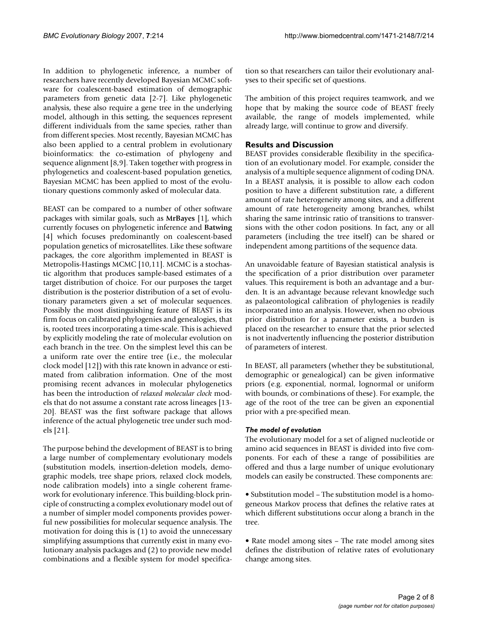In addition to phylogenetic inference, a number of researchers have recently developed Bayesian MCMC software for coalescent-based estimation of demographic parameters from genetic data [2-7]. Like phylogenetic analysis, these also require a gene tree in the underlying model, although in this setting, the sequences represent different individuals from the same species, rather than from different species. Most recently, Bayesian MCMC has also been applied to a central problem in evolutionary bioinformatics: the co-estimation of phylogeny and sequence alignment [8,9]. Taken together with progress in phylogenetics and coalescent-based population genetics, Bayesian MCMC has been applied to most of the evolutionary questions commonly asked of molecular data.

BEAST can be compared to a number of other software packages with similar goals, such as **MrBayes** [1], which currently focuses on phylogenetic inference and **Batwing** [4] which focuses predominantly on coalescent-based population genetics of microsatellites. Like these software packages, the core algorithm implemented in BEAST is Metropolis-Hastings MCMC [10,11]. MCMC is a stochastic algorithm that produces sample-based estimates of a target distribution of choice. For our purposes the target distribution is the posterior distribution of a set of evolutionary parameters given a set of molecular sequences. Possibly the most distinguishing feature of BEAST is its firm focus on calibrated phylogenies and genealogies, that is, rooted trees incorporating a time-scale. This is achieved by explicitly modeling the rate of molecular evolution on each branch in the tree. On the simplest level this can be a uniform rate over the entire tree (i.e., the molecular clock model [12]) with this rate known in advance or estimated from calibration information. One of the most promising recent advances in molecular phylogenetics has been the introduction of *relaxed molecular clock* models that do not assume a constant rate across lineages [13- 20]. BEAST was the first software package that allows inference of the actual phylogenetic tree under such models [21].

The purpose behind the development of BEAST is to bring a large number of complementary evolutionary models (substitution models, insertion-deletion models, demographic models, tree shape priors, relaxed clock models, node calibration models) into a single coherent framework for evolutionary inference. This building-block principle of constructing a complex evolutionary model out of a number of simpler model components provides powerful new possibilities for molecular sequence analysis. The motivation for doing this is (1) to avoid the unnecessary simplifying assumptions that currently exist in many evolutionary analysis packages and (2) to provide new model combinations and a flexible system for model specification so that researchers can tailor their evolutionary analyses to their specific set of questions.

The ambition of this project requires teamwork, and we hope that by making the source code of BEAST freely available, the range of models implemented, while already large, will continue to grow and diversify.

# **Results and Discussion**

BEAST provides considerable flexibility in the specification of an evolutionary model. For example, consider the analysis of a multiple sequence alignment of coding DNA. In a BEAST analysis, it is possible to allow each codon position to have a different substitution rate, a different amount of rate heterogeneity among sites, and a different amount of rate heterogeneity among branches, whilst sharing the same intrinsic ratio of transitions to transversions with the other codon positions. In fact, any or all parameters (including the tree itself) can be shared or independent among partitions of the sequence data.

An unavoidable feature of Bayesian statistical analysis is the specification of a prior distribution over parameter values. This requirement is both an advantage and a burden. It is an advantage because relevant knowledge such as palaeontological calibration of phylogenies is readily incorporated into an analysis. However, when no obvious prior distribution for a parameter exists, a burden is placed on the researcher to ensure that the prior selected is not inadvertently influencing the posterior distribution of parameters of interest.

In BEAST, all parameters (whether they be substitutional, demographic or genealogical) can be given informative priors (e.g. exponential, normal, lognormal or uniform with bounds, or combinations of these). For example, the age of the root of the tree can be given an exponential prior with a pre-specified mean.

# *The model of evolution*

The evolutionary model for a set of aligned nucleotide or amino acid sequences in BEAST is divided into five components. For each of these a range of possibilities are offered and thus a large number of unique evolutionary models can easily be constructed. These components are:

• Substitution model – The substitution model is a homogeneous Markov process that defines the relative rates at which different substitutions occur along a branch in the tree.

• Rate model among sites – The rate model among sites defines the distribution of relative rates of evolutionary change among sites.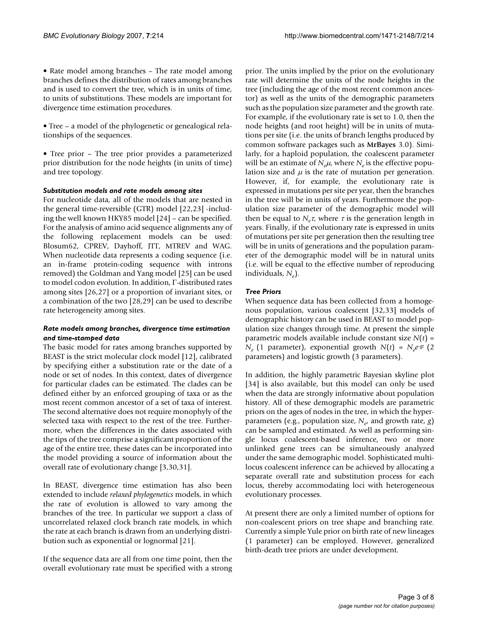• Rate model among branches – The rate model among branches defines the distribution of rates among branches and is used to convert the tree, which is in units of time, to units of substitutions. These models are important for divergence time estimation procedures.

• Tree – a model of the phylogenetic or genealogical relationships of the sequences.

• Tree prior – The tree prior provides a parameterized prior distribution for the node heights (in units of time) and tree topology.

### *Substitution models and rate models among sites*

For nucleotide data, all of the models that are nested in the general time-reversible (GTR) model [22,23] -including the well known HKY85 model [24] – can be specified. For the analysis of amino acid sequence alignments any of the following replacement models can be used: Blosum62, CPREV, Dayhoff, JTT, MTREV and WAG. When nucleotide data represents a coding sequence (i.e. an in-frame protein-coding sequence with introns removed) the Goldman and Yang model [25] can be used to model codon evolution. In addition, Γ-distributed rates among sites [26,27] or a proportion of invariant sites, or a combination of the two [28,29] can be used to describe rate heterogeneity among sites.

### *Rate models among branches, divergence time estimation and time-stamped data*

The basic model for rates among branches supported by BEAST is the strict molecular clock model [12], calibrated by specifying either a substitution rate or the date of a node or set of nodes. In this context, dates of divergence for particular clades can be estimated. The clades can be defined either by an enforced grouping of taxa or as the most recent common ancestor of a set of taxa of interest. The second alternative does not require monophyly of the selected taxa with respect to the rest of the tree. Furthermore, when the differences in the dates associated with the tips of the tree comprise a significant proportion of the age of the entire tree, these dates can be incorporated into the model providing a source of information about the overall rate of evolutionary change [3,30,31].

In BEAST, divergence time estimation has also been extended to include *relaxed phylogenetics* models, in which the rate of evolution is allowed to vary among the branches of the tree. In particular we support a class of uncorrelated relaxed clock branch rate models, in which the rate at each branch is drawn from an underlying distribution such as exponential or lognormal [21].

If the sequence data are all from one time point, then the overall evolutionary rate must be specified with a strong prior. The units implied by the prior on the evolutionary rate will determine the units of the node heights in the tree (including the age of the most recent common ancestor) as well as the units of the demographic parameters such as the population size parameter and the growth rate. For example, if the evolutionary rate is set to 1.0, then the node heights (and root height) will be in units of mutations per site (i.e. the units of branch lengths produced by common software packages such as **MrBayes** 3.0). Similarly, for a haploid population, the coalescent parameter will be an estimate of  $N_e\mu$ , where  $N_e$  is the effective population size and  $\mu$  is the rate of mutation per generation. However, if, for example, the evolutionary rate is expressed in mutations per site per year, then the branches in the tree will be in units of years. Furthermore the population size parameter of the demographic model will then be equal to  $N_e\tau$ , where  $\tau$  is the generation length in years. Finally, if the evolutionary rate is expressed in units of mutations per site per generation then the resulting tree will be in units of generations and the population parameter of the demographic model will be in natural units (i.e. will be equal to the effective number of reproducing individuals, *N<sub>e</sub>*).

# *Tree Priors*

When sequence data has been collected from a homogenous population, various coalescent [32,33] models of demographic history can be used in BEAST to model population size changes through time. At present the simple parametric models available include constant size *N*(*t*) = *N<sub>e</sub>* (1 parameter), exponential growth  $N(t) = N_e e^{-gt}$  (2 parameters) and logistic growth (3 parameters).

In addition, the highly parametric Bayesian skyline plot [34] is also available, but this model can only be used when the data are strongly informative about population history. All of these demographic models are parametric priors on the ages of nodes in the tree, in which the hyperparameters (e.g., population size, *Ne*, and growth rate, *g*) can be sampled and estimated. As well as performing single locus coalescent-based inference, two or more unlinked gene trees can be simultaneously analyzed under the same demographic model. Sophisticated multilocus coalescent inference can be achieved by allocating a separate overall rate and substitution process for each locus, thereby accommodating loci with heterogeneous evolutionary processes.

At present there are only a limited number of options for non-coalescent priors on tree shape and branching rate. Currently a simple Yule prior on birth rate of new lineages (1 parameter) can be employed. However, generalized birth-death tree priors are under development.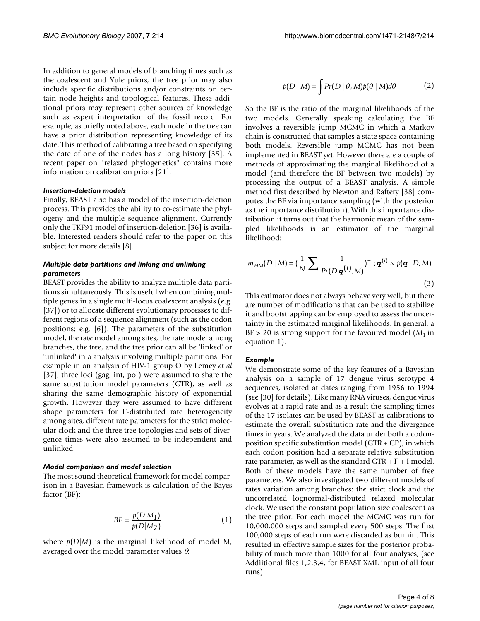In addition to general models of branching times such as the coalescent and Yule priors, the tree prior may also include specific distributions and/or constraints on certain node heights and topological features. These additional priors may represent other sources of knowledge such as expert interpretation of the fossil record. For example, as briefly noted above, each node in the tree can have a prior distribution representing knowledge of its date. This method of calibrating a tree based on specifying the date of one of the nodes has a long history [35]. A recent paper on "relaxed phylogenetics" contains more information on calibration priors [21].

### *Insertion-deletion models*

Finally, BEAST also has a model of the insertion-deletion process. This provides the ability to co-estimate the phylogeny and the multiple sequence alignment. Currently only the TKF91 model of insertion-deletion [36] is available. Interested readers should refer to the paper on this subject for more details [8].

### *Multiple data partitions and linking and unlinking parameters*

BEAST provides the ability to analyze multiple data partitions simultaneously. This is useful when combining multiple genes in a single multi-locus coalescent analysis (e.g. [37]) or to allocate different evolutionary processes to different regions of a sequence alignment (such as the codon positions; e.g. [6]). The parameters of the substitution model, the rate model among sites, the rate model among branches, the tree, and the tree prior can all be 'linked' or 'unlinked' in a analysis involving multiple partitions. For example in an analysis of HIV-1 group O by Lemey *et al* [37], three loci (gag, int, pol) were assumed to share the same substitution model parameters (GTR), as well as sharing the same demographic history of exponential growth. However they were assumed to have different shape parameters for Γ-distributed rate heterogeneity among sites, different rate parameters for the strict molecular clock and the three tree topologies and sets of divergence times were also assumed to be independent and unlinked.

### *Model comparison and model selection*

The most sound theoretical framework for model comparison in a Bayesian framework is calculation of the Bayes factor (BF):

$$
BF = \frac{p(D|M_1)}{p(D|M_2)}
$$
 (1)

where  $p(D|M)$  is the marginal likelihood of model M, averaged over the model parameter values  $\theta$ :

$$
p(D \mid M) = \int Pr(D \mid \theta, M)p(\theta \mid M)d\theta \qquad (2)
$$

So the BF is the ratio of the marginal likelihoods of the two models. Generally speaking calculating the BF involves a reversible jump MCMC in which a Markov chain is constructed that samples a state space containing both models. Reversible jump MCMC has not been implemented in BEAST yet. However there are a couple of methods of approximating the marginal likelihood of a model (and therefore the BF between two models) by processing the output of a BEAST analysis. A simple method first described by Newton and Raftery [38] computes the BF via importance sampling (with the posterior as the importance distribution). With this importance distribution it turns out that the harmonic mean of the sampled likelihoods is an estimator of the marginal likelihood:

$$
m_{HM}(D \mid M) = \left(\frac{1}{N} \sum \frac{1}{Pr(D|\mathbf{q}^{(i)}, M)}\right)^{-1}; \mathbf{q}^{(i)} \sim p(\mathbf{q} \mid D, M)
$$
\n(3)

This estimator does not always behave very well, but there are number of modifications that can be used to stabilize it and bootstrapping can be employed to assess the uncertainty in the estimated marginal likelihoods. In general, a  $BF > 20$  is strong support for the favoured model  $(M_1 \text{ in }$ equation 1).

#### *Example*

We demonstrate some of the key features of a Bayesian analysis on a sample of 17 dengue virus serotype 4 sequences, isolated at dates ranging from 1956 to 1994 (see [30] for details). Like many RNA viruses, dengue virus evolves at a rapid rate and as a result the sampling times of the 17 isolates can be used by BEAST as calibrations to estimate the overall substitution rate and the divergence times in years. We analyzed the data under both a codonposition specific substitution model (GTR + CP), in which each codon position had a separate relative substitution rate parameter, as well as the standard  $GTR + \Gamma + I$  model. Both of these models have the same number of free parameters. We also investigated two different models of rates variation among branches: the strict clock and the uncorrelated lognormal-distributed relaxed molecular clock. We used the constant population size coalescent as the tree prior. For each model the MCMC was run for 10,000,000 steps and sampled every 500 steps. The first 100,000 steps of each run were discarded as burnin. This resulted in effective sample sizes for the posterior probability of much more than 1000 for all four analyses, (see Addiitional files 1,2,3,4, for BEAST XML input of all four runs).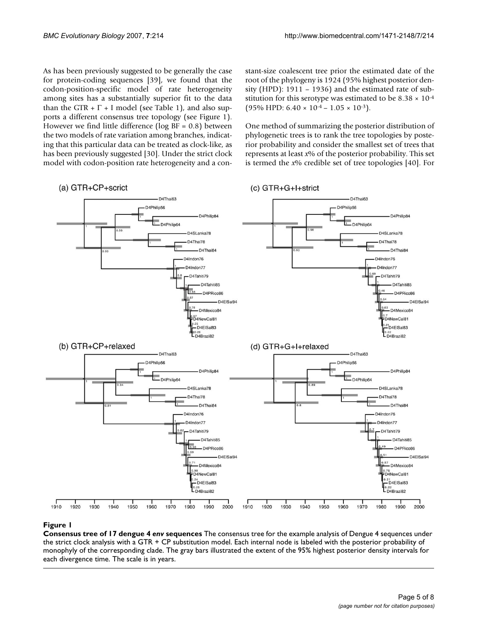As has been previously suggested to be generally the case for protein-coding sequences [39], we found that the codon-position-specific model of rate heterogeneity among sites has a substantially superior fit to the data than the GTR +  $\Gamma$  + I model (see Table 1), and also supports a different consensus tree topology (see Figure 1). However we find little difference (log BF = 0.8) between the two models of rate variation among branches, indicating that this particular data can be treated as clock-like, as has been previously suggested [30]. Under the strict clock model with codon-position rate heterogeneity and a constant-size coalescent tree prior the estimated date of the root of the phylogeny is 1924 (95% highest posterior density (HPD): 1911 – 1936) and the estimated rate of substitution for this serotype was estimated to be  $8.38 \times 10^{-4}$  $(95\% \text{ HPD: } 6.40 \times 10^{-4} - 1.05 \times 10^{-3}).$ 

One method of summarizing the posterior distribution of phylogenetic trees is to rank the tree topologies by posterior probability and consider the smallest set of trees that represents at least *x*% of the posterior probability. This set is termed the *x*% credible set of tree topologies [40]. For



### Figure 1

**Consensus tree of 17 dengue 4** *env* **sequences** The consensus tree for the example analysis of Dengue 4 sequences under the strict clock analysis with a GTR + CP substitution model. Each internal node is labeled with the posterior probability of monophyly of the corresponding clade. The gray bars illustrated the extent of the 95% highest posterior density intervals for each divergence time. The scale is in years.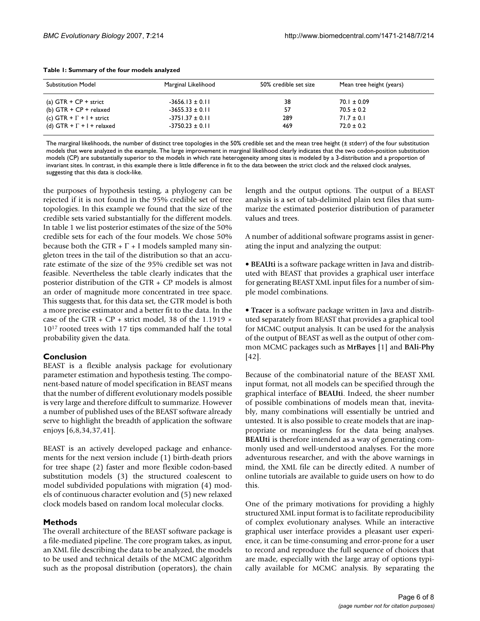| <b>Substitution Model</b>        | Marginal Likelihood | 50% credible set size | Mean tree height (years) |
|----------------------------------|---------------------|-----------------------|--------------------------|
| (a) $GTR + CP +$ strict          | $-3656.13 \pm 0.11$ | 38                    | 70.1 $\pm$ 0.09          |
| (b) $GTR + CP +$ relaxed         | $-3655.33 \pm 0.11$ | 57                    | $70.5 \pm 0.2$           |
| (c) GTR + $\Gamma$ + l + strict  | $-3751.37 \pm 0.11$ | 289                   | $71.7 \pm 0.1$           |
| (d) GTR + $\Gamma$ + l + relaxed | $-3750.23 \pm 0.11$ | 469                   | $72.0 \pm 0.2$           |

#### **Table 1: Summary of the four models analyzed**

The marginal likelihoods, the number of distinct tree topologies in the 50% credible set and the mean tree height (± stderr) of the four substitution models that were analyzed in the example. The large improvement in marginal likelihood clearly indicates that the two codon-position substitution models (CP) are substantially superior to the models in which rate heterogeneity among sites is modeled by a 3-distribution and a proportion of invariant sites. In contrast, in this example there is little difference in fit to the data between the strict clock and the relaxed clock analyses, suggesting that this data is clock-like.

the purposes of hypothesis testing, a phylogeny can be rejected if it is not found in the 95% credible set of tree topologies. In this example we found that the size of the credible sets varied substantially for the different models. In table 1 we list posterior estimates of the size of the 50% credible sets for each of the four models. We chose 50% because both the GTR +  $\Gamma$  + I models sampled many singleton trees in the tail of the distribution so that an accurate estimate of the size of the 95% credible set was not feasible. Nevertheless the table clearly indicates that the posterior distribution of the GTR + CP models is almost an order of magnitude more concentrated in tree space. This suggests that, for this data set, the GTR model is both a more precise estimator and a better fit to the data. In the case of the GTR + CP + strict model, 38 of the 1.1919 × 1017 rooted trees with 17 tips commanded half the total probability given the data.

# **Conclusion**

BEAST is a flexible analysis package for evolutionary parameter estimation and hypothesis testing. The component-based nature of model specification in BEAST means that the number of different evolutionary models possible is very large and therefore diffcult to summarize. However a number of published uses of the BEAST software already serve to highlight the breadth of application the software enjoys [6,8,34,37,41].

BEAST is an actively developed package and enhancements for the next version include (1) birth-death priors for tree shape (2) faster and more flexible codon-based substitution models (3) the structured coalescent to model subdivided populations with migration (4) models of continuous character evolution and (5) new relaxed clock models based on random local molecular clocks.

# **Methods**

The overall architecture of the BEAST software package is a file-mediated pipeline. The core program takes, as input, an XML file describing the data to be analyzed, the models to be used and technical details of the MCMC algorithm such as the proposal distribution (operators), the chain

length and the output options. The output of a BEAST analysis is a set of tab-delimited plain text files that summarize the estimated posterior distribution of parameter values and trees.

A number of additional software programs assist in generating the input and analyzing the output:

• **BEAUti** is a software package written in Java and distributed with BEAST that provides a graphical user interface for generating BEAST XML input files for a number of simple model combinations.

• **Tracer** is a software package written in Java and distributed separately from BEAST that provides a graphical tool for MCMC output analysis. It can be used for the analysis of the output of BEAST as well as the output of other common MCMC packages such as **MrBayes** [1] and **BAli-Phy** [42].

Because of the combinatorial nature of the BEAST XML input format, not all models can be specified through the graphical interface of **BEAUti**. Indeed, the sheer number of possible combinations of models mean that, inevitably, many combinations will essentially be untried and untested. It is also possible to create models that are inappropriate or meaningless for the data being analyses. **BEAUti** is therefore intended as a way of generating commonly used and well-understood analyses. For the more adventurous researcher, and with the above warnings in mind, the XML file can be directly edited. A number of online tutorials are available to guide users on how to do this.

One of the primary motivations for providing a highly structured XML input format is to facilitate reproducibility of complex evolutionary analyses. While an interactive graphical user interface provides a pleasant user experience, it can be time-consuming and error-prone for a user to record and reproduce the full sequence of choices that are made, especially with the large array of options typically available for MCMC analysis. By separating the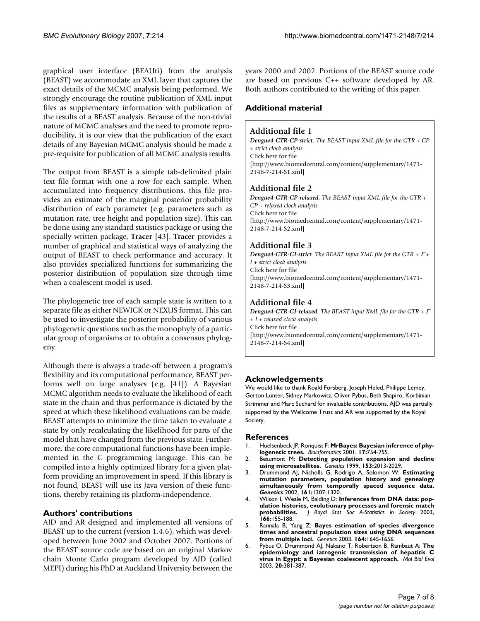graphical user interface (BEAUti) from the analysis (BEAST) we accommodate an XML layer that captures the exact details of the MCMC analysis being performed. We strongly encourage the routine publication of XML input files as supplementary information with publication of the results of a BEAST analysis. Because of the non-trivial nature of MCMC analyses and the need to promote reproducibility, it is our view that the publication of the exact details of any Bayesian MCMC analysis should be made a pre-requisite for publication of all MCMC analysis results.

The output from BEAST is a simple tab-delimited plain text file format with one a row for each sample. When accumulated into frequency distributions, this file provides an estimate of the marginal posterior probability distribution of each parameter (e.g. parameters such as mutation rate, tree height and population size). This can be done using any standard statistics package or using the specially written package, **Tracer** [43]. **Tracer** provides a number of graphical and statistical ways of analyzing the output of BEAST to check performance and accuracy. It also provides specialized functions for summarizing the posterior distribution of population size through time when a coalescent model is used.

The phylogenetic tree of each sample state is written to a separate file as either NEWICK or NEXUS format. This can be used to investigate the posterior probability of various phylogenetic questions such as the monophyly of a particular group of organisms or to obtain a consensus phylogeny.

Although there is always a trade-off between a program's flexibility and its computational performance, BEAST performs well on large analyses (e.g. [41]). A Bayesian MCMC algorithm needs to evaluate the likelihood of each state in the chain and thus performance is dictated by the speed at which these likelihood evaluations can be made. BEAST attempts to minimize the time taken to evaluate a state by only recalculating the likelihood for parts of the model that have changed from the previous state. Furthermore, the core computational functions have been implemented in the C programming language. This can be compiled into a highly optimized library for a given platform providing an improvement in speed. If this library is not found, BEAST will use its Java version of these functions, thereby retaining its platform-independence.

# **Authors' contributions**

AJD and AR designed and implemented all versions of BEAST up to the current (version 1.4.6), which was developed between June 2002 and October 2007. Portions of the BEAST source code are based on an original Markov chain Monte Carlo program developed by AJD (called MEPI) during his PhD at Auckland University between the years 2000 and 2002. Portions of the BEAST source code are based on previous C++ software developed by AR. Both authors contributed to the writing of this paper.

# **Additional material**

### **Additional file 1**

*Dengue4-GTR-CP-strict. The BEAST input XML file for the GTR + CP + strict clock analysis.* Click here for file [\[http://www.biomedcentral.com/content/supplementary/1471-](http://www.biomedcentral.com/content/supplementary/1471-2148-7-214-S1.xml) 2148-7-214-S1.xml]

### **Additional file 2**

*Dengue4-GTR-CP-relaxed. The BEAST input XML file for the GTR + CP + relaxed clock analysis.* Click here for file [\[http://www.biomedcentral.com/content/supplementary/1471-](http://www.biomedcentral.com/content/supplementary/1471-2148-7-214-S2.xml) 2148-7-214-S2.xml]

### **Additional file 3**

*Dengue4-GTR-GI-strict. The BEAST input XML file for the GTR +* Γ *+ I + strict clock analysis.* Click here for file [\[http://www.biomedcentral.com/content/supplementary/1471-](http://www.biomedcentral.com/content/supplementary/1471-2148-7-214-S3.xml) 2148-7-214-S3.xml]

### **Additional file 4**

*Dengue4-GTR-GI-relaxed. The BEAST input XML file for the GTR +* <sup>Γ</sup> *+ I + relaxed clock analysis.* Click here for file [\[http://www.biomedcentral.com/content/supplementary/1471-](http://www.biomedcentral.com/content/supplementary/1471-2148-7-214-S4.xml) 2148-7-214-S4.xml]

# **Acknowledgements**

We would like to thank Roald Forsberg, Joseph Heled, Philippe Lemey, Gerton Lunter, Sidney Markowitz, Oliver Pybus, Beth Shapiro, Korbinian Strimmer and Marc Suchard for invaluable contributions. AJD was partially supported by the Wellcome Trust and AR was supported by the Royal Society.

### **References**

- 1. Huelsenbeck JP, Ronquist F: **[MrBayes: Bayesian inference of phy](http://www.ncbi.nlm.nih.gov/entrez/query.fcgi?cmd=Retrieve&db=PubMed&dopt=Abstract&list_uids=11524383)[logenetic trees.](http://www.ncbi.nlm.nih.gov/entrez/query.fcgi?cmd=Retrieve&db=PubMed&dopt=Abstract&list_uids=11524383)** *Bioinformatics* 2001, **17:**754-755.
- 2. Beaumont M: **[Detecting population expansion and decline](http://www.ncbi.nlm.nih.gov/entrez/query.fcgi?cmd=Retrieve&db=PubMed&dopt=Abstract&list_uids=10581303) [using microsatellites.](http://www.ncbi.nlm.nih.gov/entrez/query.fcgi?cmd=Retrieve&db=PubMed&dopt=Abstract&list_uids=10581303)** *Genetics* 1999, **153:**2013-2029.
- 3. Drummond AJ, Nicholls G, Rodrigo A, Solomon W: **[Estimating](http://www.ncbi.nlm.nih.gov/entrez/query.fcgi?cmd=Retrieve&db=PubMed&dopt=Abstract&list_uids=12136032) mutation parameters, population history and genealogy [simultaneously from temporally spaced sequence data.](http://www.ncbi.nlm.nih.gov/entrez/query.fcgi?cmd=Retrieve&db=PubMed&dopt=Abstract&list_uids=12136032)** *Genetics* 2002, **161:**1307-1320.
- 4. Wilson I, Weale M, Balding D: **Inferences from DNA data: population histories, evolutionary processes and forensic match probabilities.** *J Royal Stat Soc A-Statistics in Society* 2003, **166:**155-188.
- 5. Rannala B, Yang Z: **[Bayes estimation of species divergence](http://www.ncbi.nlm.nih.gov/entrez/query.fcgi?cmd=Retrieve&db=PubMed&dopt=Abstract&list_uids=12930768) [times and ancestral population sizes using DNA sequences](http://www.ncbi.nlm.nih.gov/entrez/query.fcgi?cmd=Retrieve&db=PubMed&dopt=Abstract&list_uids=12930768) [from multiple loci.](http://www.ncbi.nlm.nih.gov/entrez/query.fcgi?cmd=Retrieve&db=PubMed&dopt=Abstract&list_uids=12930768)** *Genetics* 2003, **164:**1645-1656.
- 6. Pybus O, Drummond AJ, Nakano T, Robertson B, Rambaut A: **[The](http://www.ncbi.nlm.nih.gov/entrez/query.fcgi?cmd=Retrieve&db=PubMed&dopt=Abstract&list_uids=12644558) [epidemiology and iatrogenic transmission of hepatitis C](http://www.ncbi.nlm.nih.gov/entrez/query.fcgi?cmd=Retrieve&db=PubMed&dopt=Abstract&list_uids=12644558) [virus in Egypt: a Bayesian coalescent approach.](http://www.ncbi.nlm.nih.gov/entrez/query.fcgi?cmd=Retrieve&db=PubMed&dopt=Abstract&list_uids=12644558)** *Mol Biol Evol* 2003, **20:**381-387.